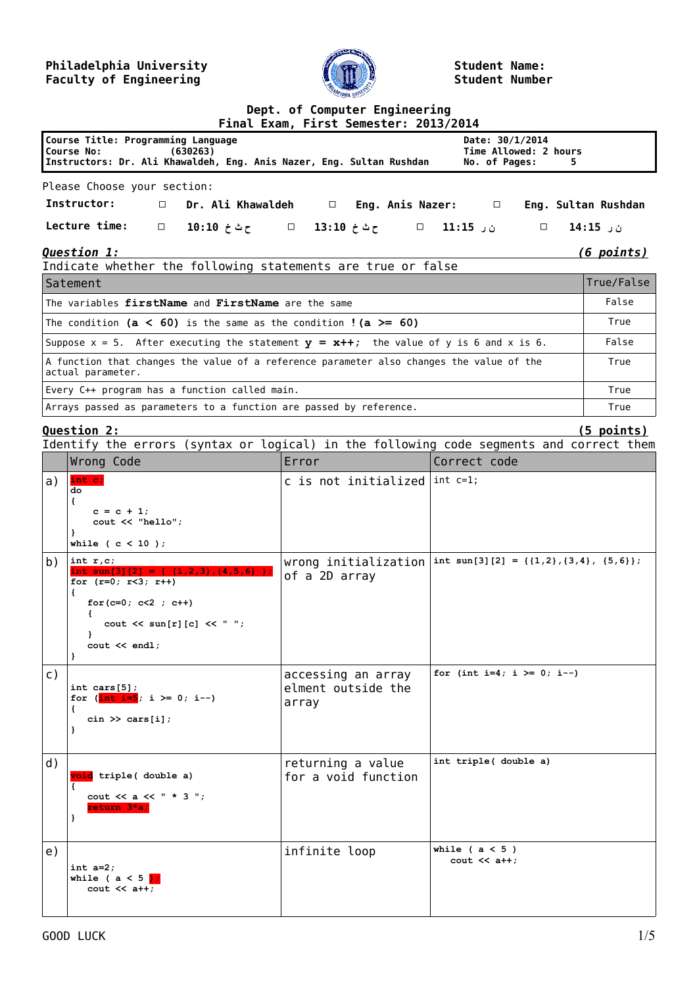## **Philadelphia University Faculty of Engineering**



**Student Name: Student Number**

## **Dept. of Computer Engineering**

|  | Final Exam, First Semester: 2013/2014 |  |
|--|---------------------------------------|--|

|                                                                                                                                   |        |                                                         | <u> 1 1110 - LAUM, 1 11 JE JEMEJECI I 1601 1601 -</u> |  |  |  |       |                                                             |  |   |                     |
|-----------------------------------------------------------------------------------------------------------------------------------|--------|---------------------------------------------------------|-------------------------------------------------------|--|--|--|-------|-------------------------------------------------------------|--|---|---------------------|
| Course Title: Programming Language<br>Course No: (630263)<br>Instructors: Dr. Ali Khawaldeh, Eng. Anis Nazer, Eng. Sultan Rushdan |        |                                                         |                                                       |  |  |  |       | Date: $30/1/2014$<br>Time Allowed: 2 hours<br>No. of Pages: |  | 5 |                     |
| Please Choose your section:                                                                                                       |        |                                                         |                                                       |  |  |  |       |                                                             |  |   |                     |
| Instructor:                                                                                                                       |        | $\Box$ Dr. Ali Khawaldeh $\Box$ Eng. Anis Nazer: $\Box$ |                                                       |  |  |  |       |                                                             |  |   | Eng. Sultan Rushdan |
| Lecture time:                                                                                                                     | $\Box$ | □ ن ر 11:15 □ ح⊨ث خ 13:10 □ ح⊨ث خ 10:10                 |                                                       |  |  |  |       |                                                             |  |   | ن ر 15:15           |
| <b>Question 1:</b><br><u>(6 points)</u><br>Indicate whether the following statements are true or false                            |        |                                                         |                                                       |  |  |  |       |                                                             |  |   |                     |
| Satement                                                                                                                          |        |                                                         |                                                       |  |  |  |       |                                                             |  |   | True/False          |
| The variables firstName and FirstName are the same                                                                                |        |                                                         |                                                       |  |  |  | False |                                                             |  |   |                     |
| The condition ( $a < 60$ ) is the same as the condition ! ( $a \ge 60$ )                                                          |        |                                                         |                                                       |  |  |  | True  |                                                             |  |   |                     |
| Suppose $x = 5$ . After executing the statement $y = x++$ ; the value of y is 6 and x is 6.                                       |        |                                                         |                                                       |  |  |  | False |                                                             |  |   |                     |
| A function that changes the value of a reference parameter also changes the value of the<br>actual parameter.                     |        |                                                         |                                                       |  |  |  | True  |                                                             |  |   |                     |
| Every C++ program has a function called main.                                                                                     |        |                                                         |                                                       |  |  |  | True  |                                                             |  |   |                     |
| Arrays passed as parameters to a function are passed by reference.                                                                |        |                                                         |                                                       |  |  |  | True  |                                                             |  |   |                     |

**Question 2: (5 points)**

| Identify the errors (syntax or logical) in the following code segments and correct them |                                                                                                                                                                                                           |                                                   |                                              |  |  |  |  |
|-----------------------------------------------------------------------------------------|-----------------------------------------------------------------------------------------------------------------------------------------------------------------------------------------------------------|---------------------------------------------------|----------------------------------------------|--|--|--|--|
|                                                                                         | Wrong Code                                                                                                                                                                                                | Error                                             | Correct code                                 |  |  |  |  |
| a)                                                                                      | int c;<br>do<br>€<br>$c = c + 1;$<br>cout << "hello";<br>}<br>while $(c < 10)$ ;                                                                                                                          | c is not initialized $\vert$ int c=1;             |                                              |  |  |  |  |
| b)                                                                                      | int $r, c$ ;<br>int $\sin[3][2] =$<br>$\{1, 2, 3\}, \{4, 5, 6\}$ }<br>for $(r=0; r<3; r++)$<br>€<br>for $(c=0; c<2; c++)$<br>cout $\lt\lt$ sun[r][c] $\lt\lt$ " ";<br>$\text{cut} \ll \text{endl}$ ;<br>} | wrong initialization<br>of a 2D array             | int sun[3][2] = { $\{1,2\}$ , {3,4}, {5,6}}; |  |  |  |  |
| $\mathsf{C}$ )                                                                          | int cars $[5]$ ;<br>for $(\frac{\text{int }i=5}{; i \ge 0; i--})$<br>€<br>$\sin \gg \text{cars}[i];$<br>1                                                                                                 | accessing an array<br>elment outside the<br>array | for (int i=4; i >= 0; i--)                   |  |  |  |  |
| d)                                                                                      | void triple ( double a)<br>€<br>cout << a << $" * 3"$ ;<br>return 3*a;<br>}                                                                                                                               | returning a value<br>for a void function          | int triple( double a)                        |  |  |  |  |
| e)                                                                                      | int $a=2$ ;<br>while ( $a < 5$ );<br>$\cot < 1$                                                                                                                                                           | infinite loop                                     | while $(a < 5)$<br>cout $<<$ a++;            |  |  |  |  |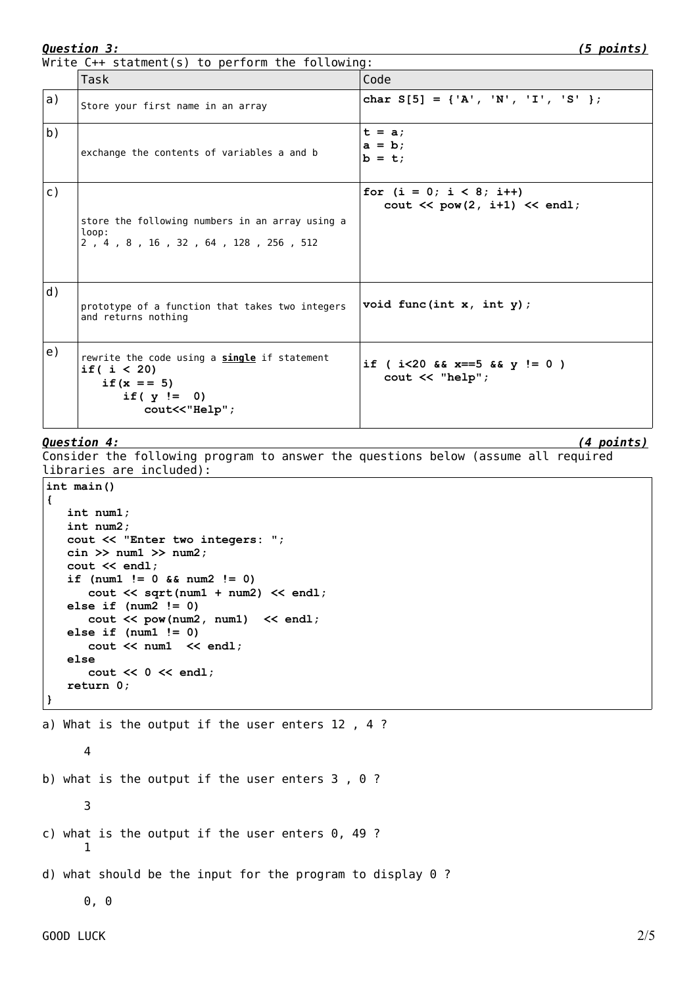Write C++ statment(s) to perform the following:

|                | Task                                                                                                             | Code                                                                               |
|----------------|------------------------------------------------------------------------------------------------------------------|------------------------------------------------------------------------------------|
| a)             | Store your first name in an array                                                                                | char $S[5] = \{'A', 'N', 'I', 'S'\}$                                               |
| b)             | exchange the contents of variables a and b                                                                       | $t = a$<br>$a = b$<br>$b = t$                                                      |
| $\mathsf{C}$ ) | store the following numbers in an array using a<br>loop:<br>2, 4, 8, 16, 32, 64, 128, 256, 512                   | for $(i = 0; i < 8; i++)$<br>$\text{cut} \ll \text{pow}(2, i+1) \ll \text{endl}$ ; |
| d)             | prototype of a function that takes two integers<br>and returns nothing                                           | void func(int $x$ , int $y$ );                                                     |
| e)             | rewrite the code using a single if statement<br>if $(i < 20)$<br>if $(x == 5)$<br>if $(y := 0)$<br>cout<<"Help"; | if ( $i < 20$ && $x == 5$ && $y := 0$ )<br>$\text{cout} \ll \text{"help"}$ ;       |

## *Question 4: (4 points)*

Consider the following program to answer the questions below (assume all required libraries are included):

```
int main()
{
    int num1;
   int num2;
    cout << "Enter two integers: ";
    cin >> num1 >> num2;
    cout << endl;
    if (num1 != 0 && num2 != 0)
       cout << sqrt(num1 + num2) << endl;
    else if (num2 != 0)
       cout << pow(num2, num1) << endl;
    else if (num1 != 0)
       cout << num1 << endl;
    else
       cout << 0 << endl;
    return 0;
}
```

```
a) What is the output if the user enters 12, 4?
     4
b) what is the output if the user enters 3 , 0 ?
     3
c) what is the output if the user enters 0, 49 ?
     1
d) what should be the input for the program to display 0 ?
     0, 0
```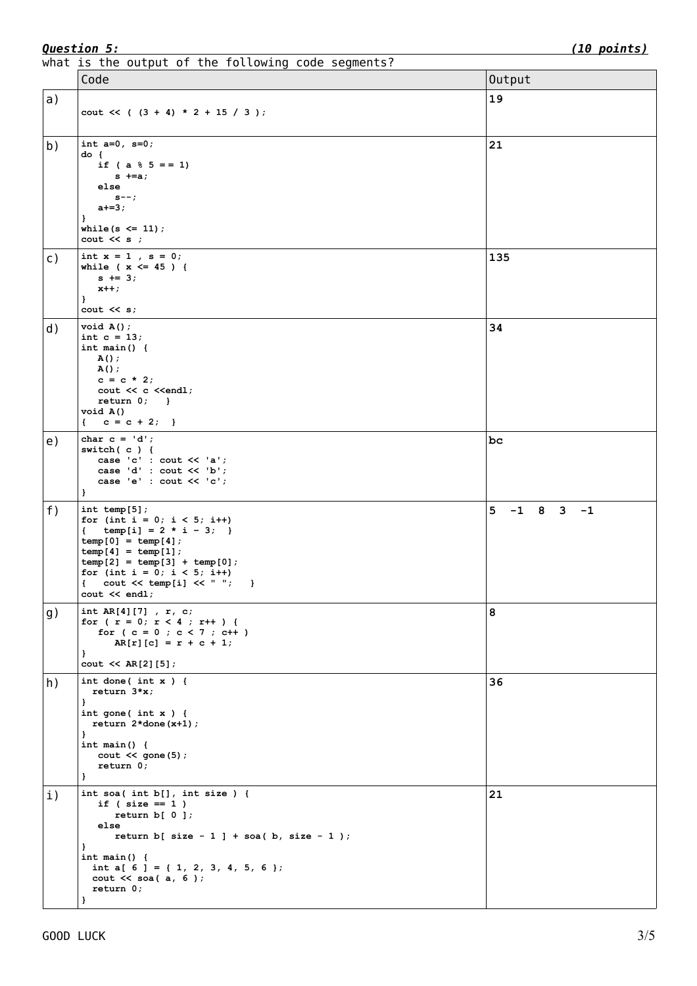what is the output of the following code segments?

|                | mide to the batpat of the foctoming code segments.<br>Code                                                                                                                                                                                             | Output          |
|----------------|--------------------------------------------------------------------------------------------------------------------------------------------------------------------------------------------------------------------------------------------------------|-----------------|
| a)             |                                                                                                                                                                                                                                                        | 19              |
|                | cout $<<$ ( $(3 + 4) * 2 + 15 / 3$ );                                                                                                                                                                                                                  |                 |
| b)             | int $a=0$ , $s=0$ ;<br>do {<br>if ( $a \tbinom{8}{5} = 1$ )<br>$s$ +=a;<br>else<br>$s--;$<br>$a+=3;$<br>-                                                                                                                                              | 21              |
|                | while $(s \leq 11)$ ;<br>$\cot \lt \lt s$ ;                                                                                                                                                                                                            |                 |
| $\mathsf{C}$ ) | int $x = 1$ , $s = 0$ ;<br>while ( $x \le 45$ ) {<br>$s$ += 3;<br>$x++;$<br>$\mathbf{r}$<br>$\cot \leftarrow s$ ;                                                                                                                                      | 135             |
| d)             | void A()<br>int $c = 13$ ;<br>int main() $\{$<br>A();<br>A();<br>$c = c * 2;$<br>cout << c < <endl;<br><math>return 0;</math> }<br/>void A()<br/><math>c = c + 2;</math><br/>€</endl;<br>                                                              | 34              |
| e)             | char $c = 'd';$<br>switch $(c)$ {<br>case 'c' : cout << 'a';<br>case 'd' : cout $<< 'b'$ ;<br>case 'e' : cout << 'c';<br>$\mathbf{F}$                                                                                                                  | bc              |
| f)             | int temp $[5]$ ;<br>for (int i = 0; i < 5; i++)<br>temp[i] = $2 * i - 3;$<br>$\left\{ \quad \right.$<br>$temp[0] = temp[4];$<br>$temp[4] = temp[1];$<br>$temp[2] = temp[3] + temp[0];$<br>for (int i = 0; i < 5; i++)<br>$\cot \leftarrow \cot 1$ ;    | $5 - 1 8 3 - 1$ |
| g)             | int $AR[4][7]$ , $r$ , $c$ ;<br>for ( $r = 0$ ; $r < 4$ ; $r++$ ) {<br>for $(c = 0 ; c < 7 ; c++)$<br>$AR[r][c] = r + c + 1;$<br>$\mathbf{I}$<br>$\cot \left( 2 \right) [5];$                                                                          | 8               |
| h)             | int done(int $x$ ) {<br>return $3*x$ ;<br>$\mathbf{F}$<br>int gone(int $x$ ) {<br>return $2*$ done $(x+1)$ ;<br>-<br>int main() $\{$<br>$\text{cut} \ll \text{gone} (5)$ ;<br>return 0;<br>$\mathbf{F}$                                                | 36              |
| i)             | int soa( int $b[]$ , int size ) {<br>if ( $size == 1$ )<br>return $b[0]$ ;<br>else<br>return b[ size - 1 ] + soa( b, size - 1 );<br>}<br>int main() $\{$<br>int a[ $6$ ] = { 1, 2, 3, 4, 5, 6 };<br>cout $\ll$ soa(a, 6);<br>return 0;<br>$\mathbf{r}$ | 21              |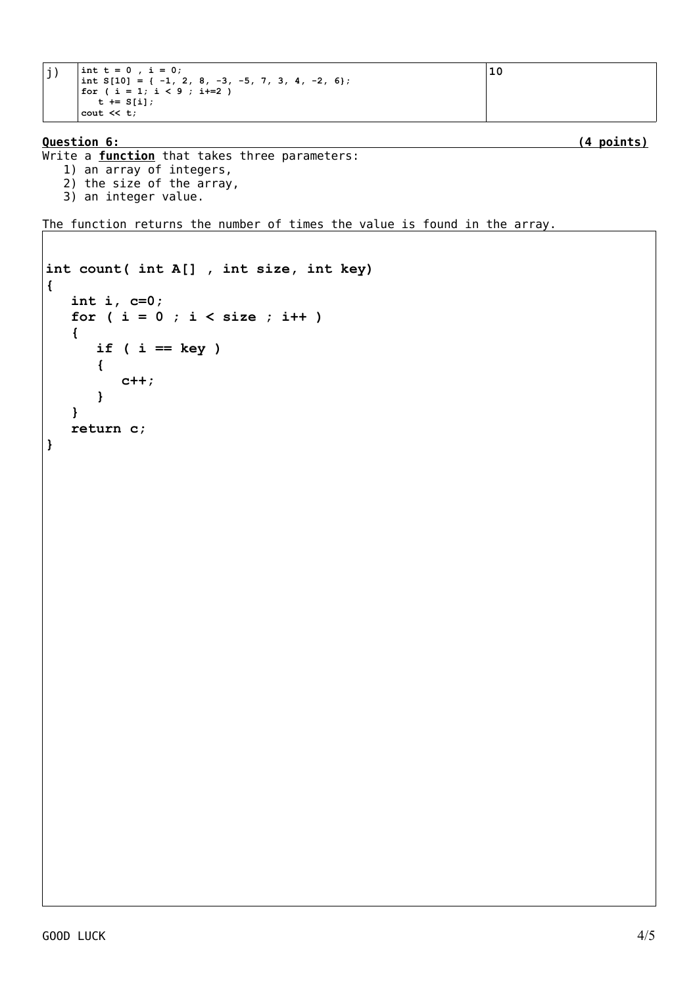```
j) \int \text{int } t = 0, i = 0;
       int S[10] = { -1, 2, 8, -3, -5, 7, 3, 4, -2, 6};
       for ( i = 1; i < 9 ; i+=2 )
        t := S[i];cout << t;
```

```
Question 6: (4 points)
```

```
Write a function that takes three parameters: 
   1) an array of integers,
   2) the size of the array,
```
3) an integer value.

The function returns the number of times the value is found in the array.

```
int count( int A[] , int size, int key)
{
    int i, c=0;
    for ( i = 0 ; i < size ; i++ )
    {
       if ( i == key )
       {
           c++;
       }
    }
    return c;
}
```